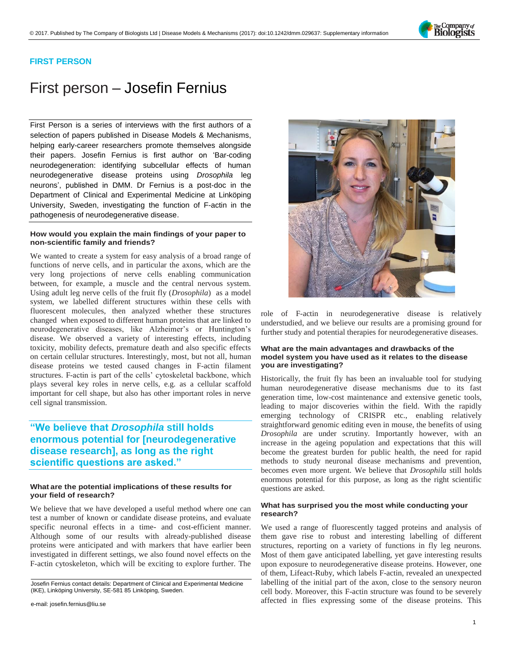

## **FIRST PERSON**

# First person – Josefin Fernius

First Person is a series of interviews with the first authors of a selection of papers published in Disease Models & Mechanisms, helping early-career researchers promote themselves alongside their papers. Josefin Fernius is first author on '[Bar-coding](https://doi.org/10.1242/dmm.029637)  [neurodegeneration: identifying subcellular effects of human](https://doi.org/10.1242/dmm.029637)  [neurodegenerative disease proteins using](https://doi.org/10.1242/dmm.029637) *Drosophila* leg [neurons](https://doi.org/10.1242/dmm.029637)', published in DMM. Dr Fernius is a post-doc in the Department of Clinical and Experimental Medicine at Linköping University, Sweden, investigating the function of F-actin in the pathogenesis of neurodegenerative disease.

### **How would you explain the main findings of your paper to non-scientific family and friends?**

We wanted to create a system for easy analysis of a broad range of functions of nerve cells, and in particular the axons, which are the very long projections of nerve cells enabling communication between, for example, a muscle and the central nervous system. Using adult leg nerve cells of the fruit fly (*Drosophila*) as a model system, we labelled different structures within these cells with fluorescent molecules, then analyzed whether these structures changed when exposed to different human proteins that are linked to neurodegenerative diseases, like Alzheimer's or Huntington's disease. We observed a variety of interesting effects, including toxicity, mobility defects, premature death and also specific effects on certain cellular structures. Interestingly, most, but not all, human disease proteins we tested caused changes in F-actin filament structures. F-actin is part of the cells' cytoskeletal backbone, which plays several key roles in nerve cells, e.g. as a cellular scaffold important for cell shape, but also has other important roles in nerve cell signal transmission.

# **"We believe that** *Drosophila* **still holds enormous potential for [neurodegenerative disease research], as long as the right scientific questions are asked."**

#### **What are the potential implications of these results for your field of research?**

We believe that we have developed a useful method where one can test a number of known or candidate disease proteins, and evaluate specific neuronal effects in a time- and cost-efficient manner. Although some of our results with already-published disease proteins were anticipated and with markers that have earlier been investigated in different settings, we also found novel effects on the F-actin cytoskeleton, which will be exciting to explore further. The

e-mail: [josefin.fernius@liu.se](mailto: josefin.fernius@liu.se)



role of F-actin in neurodegenerative disease is relatively understudied, and we believe our results are a promising ground for further study and potential therapies for neurodegenerative diseases.

#### **What are the main advantages and drawbacks of the model system you have used as it relates to the disease you are investigating?**

Historically, the fruit fly has been an invaluable tool for studying human neurodegenerative disease mechanisms due to its fast generation time, low-cost maintenance and extensive genetic tools, leading to major discoveries within the field. With the rapidly emerging technology of CRISPR etc., enabling relatively straightforward genomic editing even in mouse, the benefits of using *Drosophila* are under scrutiny. Importantly however, with an increase in the ageing population and expectations that this will become the greatest burden for public health, the need for rapid methods to study neuronal disease mechanisms and prevention, becomes even more urgent. We believe that *Drosophila* still holds enormous potential for this purpose, as long as the right scientific questions are asked.

#### **What has surprised you the most while conducting your research?**

We used a range of fluorescently tagged proteins and analysis of them gave rise to robust and interesting labelling of different structures, reporting on a variety of functions in fly leg neurons. Most of them gave anticipated labelling, yet gave interesting results upon exposure to neurodegenerative disease proteins. However, one of them, Lifeact-Ruby, which labels F-actin, revealed an unexpected labelling of the initial part of the axon, close to the sensory neuron cell body. Moreover, this F-actin structure was found to be severely affected in flies expressing some of the disease proteins. This

Josefin Fernius contact details: Department of Clinical and Experimental Medicine (IKE), Linköping University, SE-581 85 Linköping, Sweden.